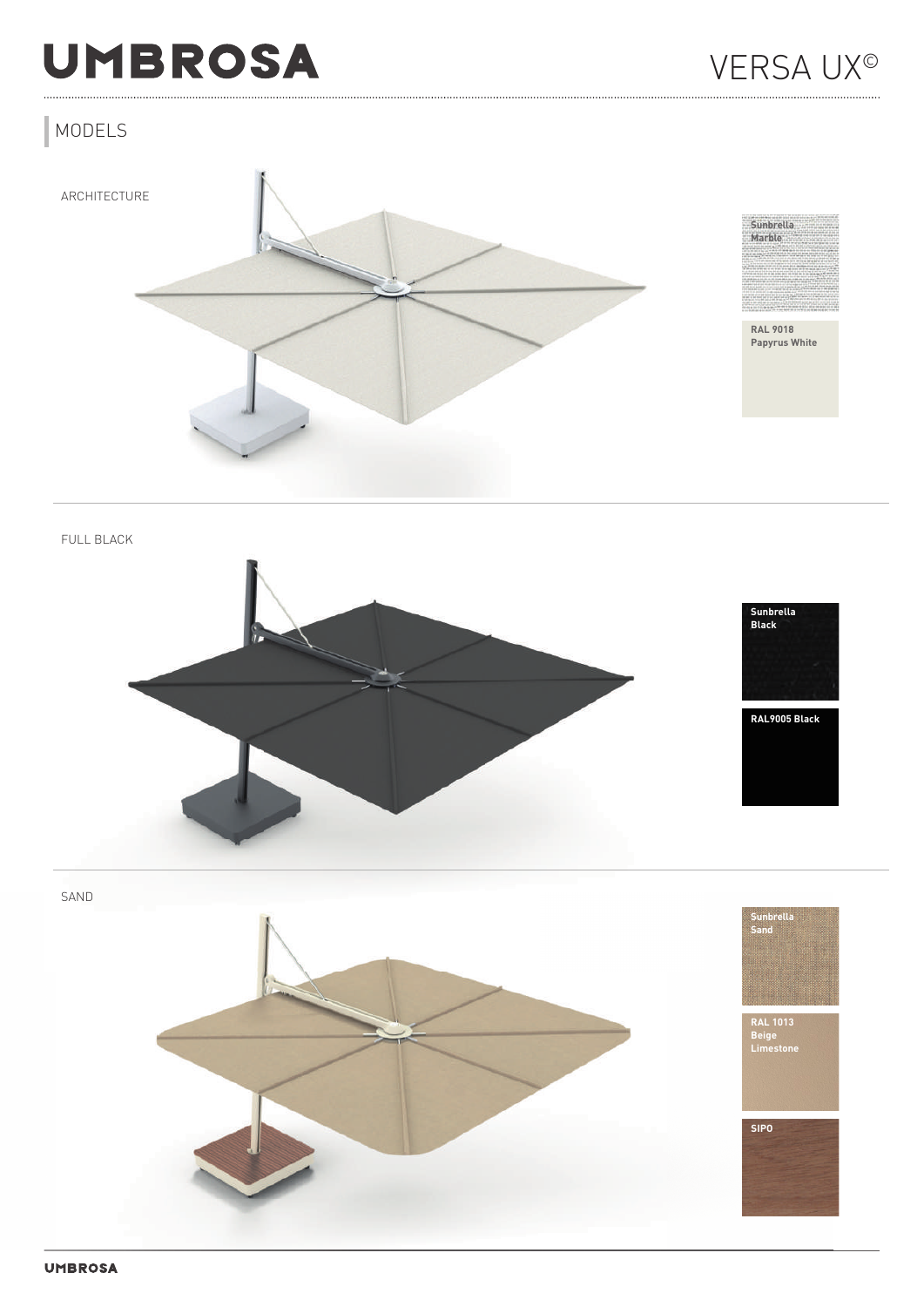# **UMBROSA**

## MODELS





**RAL 9018 Papyrus White**

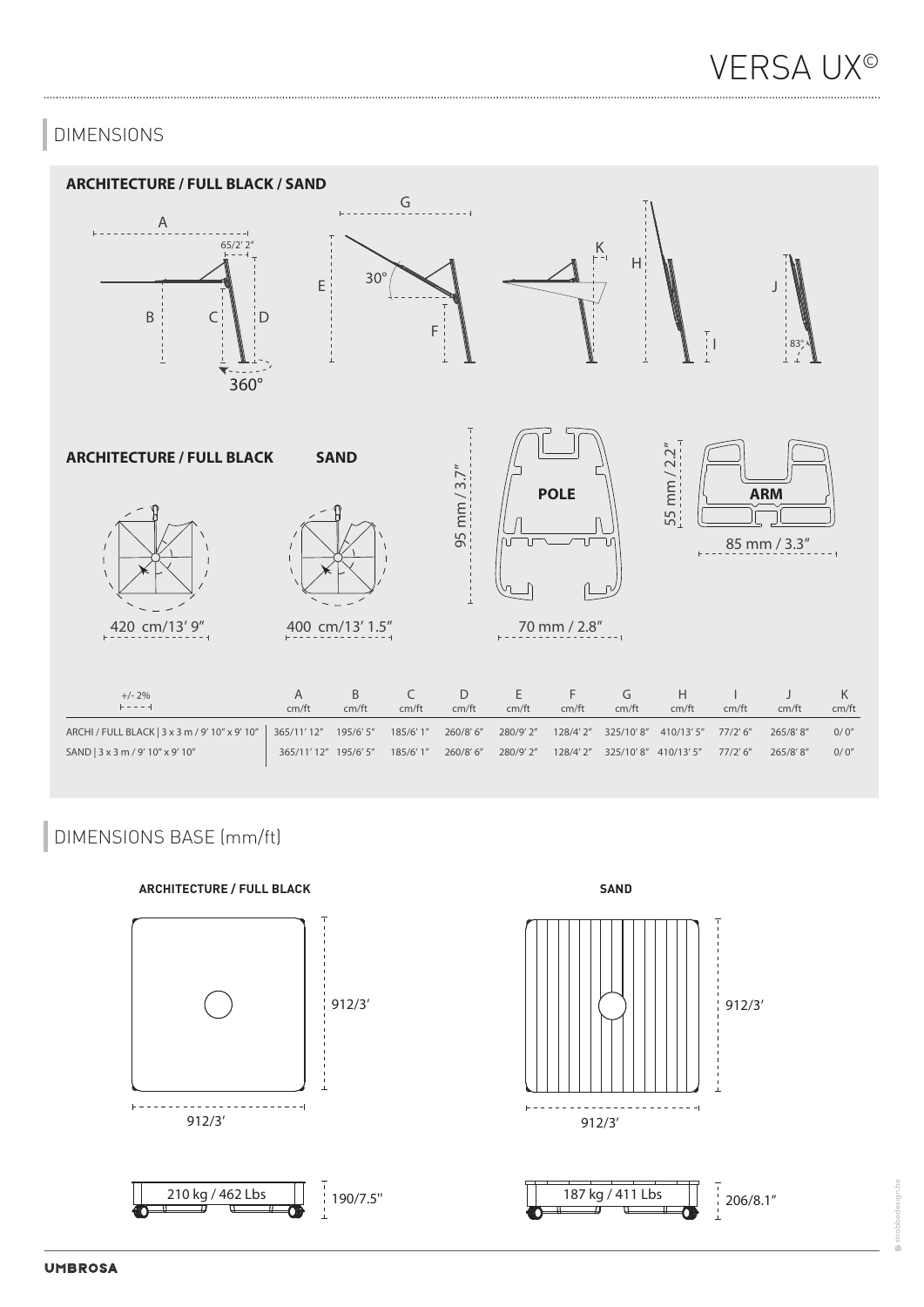## DIMENSIONS



## DIMENSIONS BASE (mm/ft)

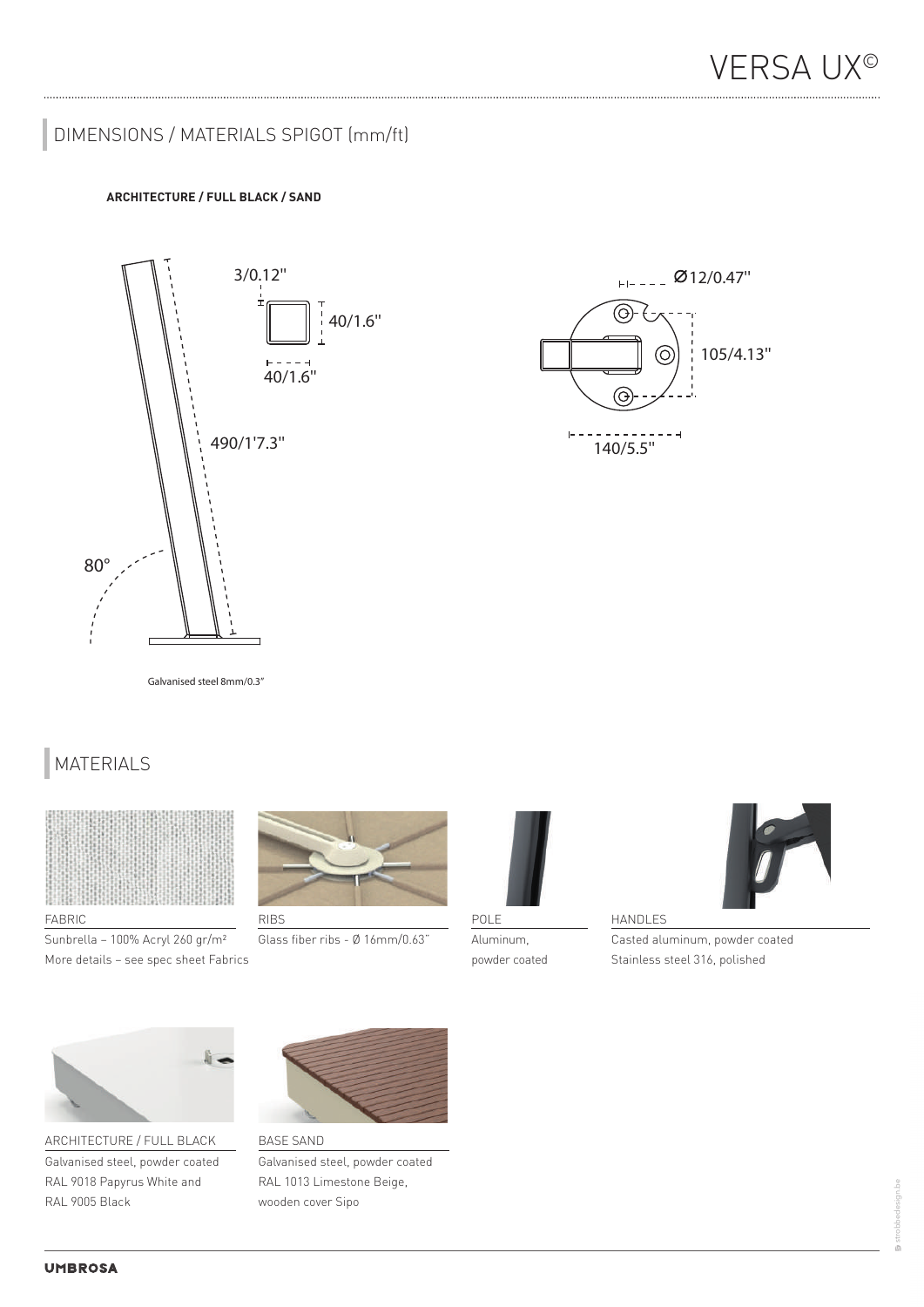## DIMENSIONS / MATERIALS SPIGOT (mm/ft)

### **ARCHITECTURE / FULL BLACK / SAND**





Galvanised steel 8mm/0.3" Galvanised steel 8mm/0.3"

## MATERIALS SUNBRELLA MARBLE RAL 9018 SUNBRELLA LIN RAL 6007 THERMO AYOUS SUNBRELLA LIN RAL 6007 THERMO AYOUS SUNBRELLA LI<br>The results of the results of the results of the results of the results of the results of the results of the r



#### FABRIC

More details – see spec sheet Fabrics and the state of the state of the state of the State State of the State of the State of the State of the State of the State of the State of the State of the State of the State of the S Sunbrella – 100% Acryl 260 gr/m²



Glass fiber ribs - Ø 16mm/0.63"



POLE Aluminum, powder coated



HANDLES

Casted aluminum, powder coated Stainless steel 316, polished



ARCHITECTURE / FULL BLACK Galvanised steel, powder coated RAL 9018 Papyrus White and RAL 9005 Black



BASE SAND



strobbedesign.be